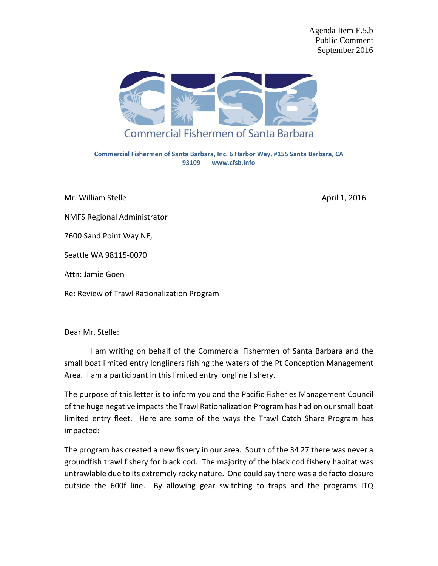Agenda Item F.5.b Public Comment September 2016



**Commercial Fishermen of Santa Barbara, Inc. 6 Harbor Way, #155 Santa Barbara, CA 93109 [www.cfsb.info](http://www.cfsb.info/)**

Mr. William Stelle April 1, 2016

NMFS Regional Administrator

7600 Sand Point Way NE,

Seattle WA 98115-0070

Attn: Jamie Goen

Re: Review of Trawl Rationalization Program

Dear Mr. Stelle:

I am writing on behalf of the Commercial Fishermen of Santa Barbara and the small boat limited entry longliners fishing the waters of the Pt Conception Management Area. I am a participant in this limited entry longline fishery.

The purpose of this letter is to inform you and the Pacific Fisheries Management Council of the huge negative impacts the Trawl Rationalization Program has had on our small boat limited entry fleet. Here are some of the ways the Trawl Catch Share Program has impacted:

The program has created a new fishery in our area. South of the 34 27 there was never a groundfish trawl fishery for black cod. The majority of the black cod fishery habitat was untrawlable due to its extremely rocky nature. One could say there was a de facto closure outside the 600f line. By allowing gear switching to traps and the programs ITQ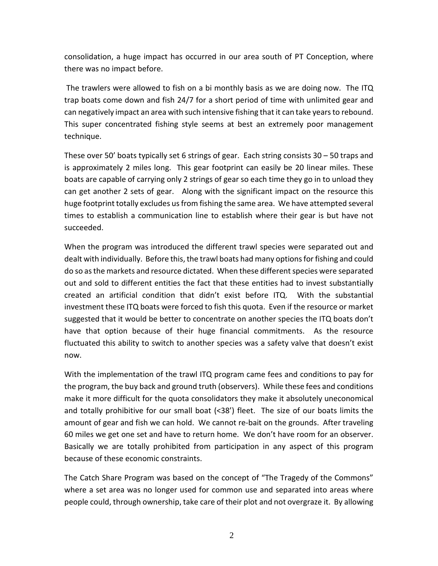consolidation, a huge impact has occurred in our area south of PT Conception, where there was no impact before.

The trawlers were allowed to fish on a bi monthly basis as we are doing now. The ITQ trap boats come down and fish 24/7 for a short period of time with unlimited gear and can negatively impact an area with such intensive fishing that it can take years to rebound. This super concentrated fishing style seems at best an extremely poor management technique.

These over 50' boats typically set 6 strings of gear. Each string consists 30 – 50 traps and is approximately 2 miles long. This gear footprint can easily be 20 linear miles. These boats are capable of carrying only 2 strings of gear so each time they go in to unload they can get another 2 sets of gear. Along with the significant impact on the resource this huge footprint totally excludes us from fishing the same area. We have attempted several times to establish a communication line to establish where their gear is but have not succeeded.

When the program was introduced the different trawl species were separated out and dealt with individually. Before this, the trawl boats had many options for fishing and could do so as the markets and resource dictated. When these different species were separated out and sold to different entities the fact that these entities had to invest substantially created an artificial condition that didn't exist before ITQ. With the substantial investment these ITQ boats were forced to fish this quota. Even if the resource or market suggested that it would be better to concentrate on another species the ITQ boats don't have that option because of their huge financial commitments. As the resource fluctuated this ability to switch to another species was a safety valve that doesn't exist now.

With the implementation of the trawl ITQ program came fees and conditions to pay for the program, the buy back and ground truth (observers). While these fees and conditions make it more difficult for the quota consolidators they make it absolutely uneconomical and totally prohibitive for our small boat (<38') fleet. The size of our boats limits the amount of gear and fish we can hold. We cannot re-bait on the grounds. After traveling 60 miles we get one set and have to return home. We don't have room for an observer. Basically we are totally prohibited from participation in any aspect of this program because of these economic constraints.

The Catch Share Program was based on the concept of "The Tragedy of the Commons" where a set area was no longer used for common use and separated into areas where people could, through ownership, take care of their plot and not overgraze it. By allowing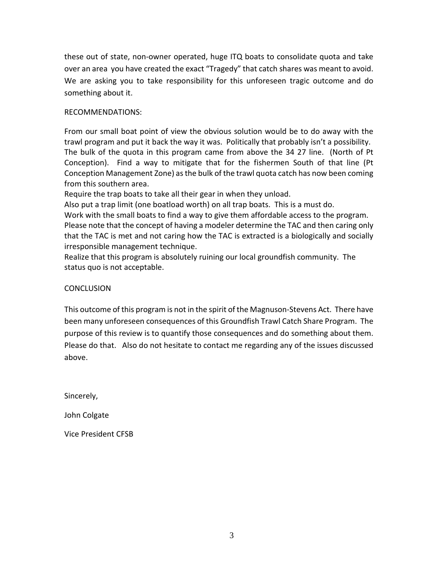these out of state, non-owner operated, huge ITQ boats to consolidate quota and take over an area you have created the exact "Tragedy" that catch shares was meant to avoid. We are asking you to take responsibility for this unforeseen tragic outcome and do something about it.

## RECOMMENDATIONS:

From our small boat point of view the obvious solution would be to do away with the trawl program and put it back the way it was. Politically that probably isn't a possibility. The bulk of the quota in this program came from above the 34 27 line. (North of Pt Conception). Find a way to mitigate that for the fishermen South of that line (Pt Conception Management Zone) as the bulk of the trawl quota catch has now been coming from this southern area.

Require the trap boats to take all their gear in when they unload.

Also put a trap limit (one boatload worth) on all trap boats. This is a must do.

Work with the small boats to find a way to give them affordable access to the program. Please note that the concept of having a modeler determine the TAC and then caring only that the TAC is met and not caring how the TAC is extracted is a biologically and socially irresponsible management technique.

Realize that this program is absolutely ruining our local groundfish community. The status quo is not acceptable.

## **CONCLUSION**

This outcome of this program is not in the spirit of the Magnuson-Stevens Act. There have been many unforeseen consequences of this Groundfish Trawl Catch Share Program. The purpose of this review is to quantify those consequences and do something about them. Please do that. Also do not hesitate to contact me regarding any of the issues discussed above.

Sincerely,

John Colgate

Vice President CFSB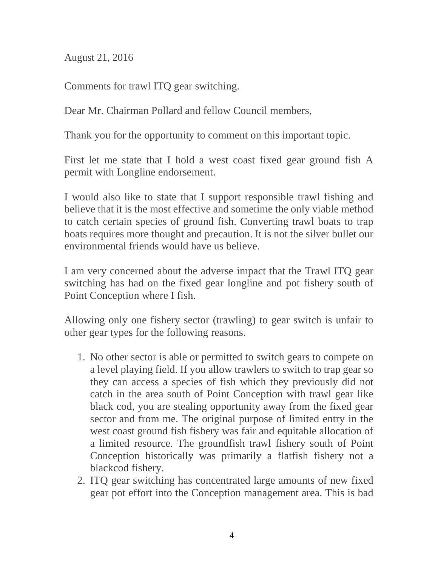August 21, 2016

Comments for trawl ITQ gear switching.

Dear Mr. Chairman Pollard and fellow Council members,

Thank you for the opportunity to comment on this important topic.

First let me state that I hold a west coast fixed gear ground fish A permit with Longline endorsement.

I would also like to state that I support responsible trawl fishing and believe that it is the most effective and sometime the only viable method to catch certain species of ground fish. Converting trawl boats to trap boats requires more thought and precaution. It is not the silver bullet our environmental friends would have us believe.

I am very concerned about the adverse impact that the Trawl ITQ gear switching has had on the fixed gear longline and pot fishery south of Point Conception where I fish.

Allowing only one fishery sector (trawling) to gear switch is unfair to other gear types for the following reasons.

- 1. No other sector is able or permitted to switch gears to compete on a level playing field. If you allow trawlers to switch to trap gear so they can access a species of fish which they previously did not catch in the area south of Point Conception with trawl gear like black cod, you are stealing opportunity away from the fixed gear sector and from me. The original purpose of limited entry in the west coast ground fish fishery was fair and equitable allocation of a limited resource. The groundfish trawl fishery south of Point Conception historically was primarily a flatfish fishery not a blackcod fishery.
- 2. ITQ gear switching has concentrated large amounts of new fixed gear pot effort into the Conception management area. This is bad